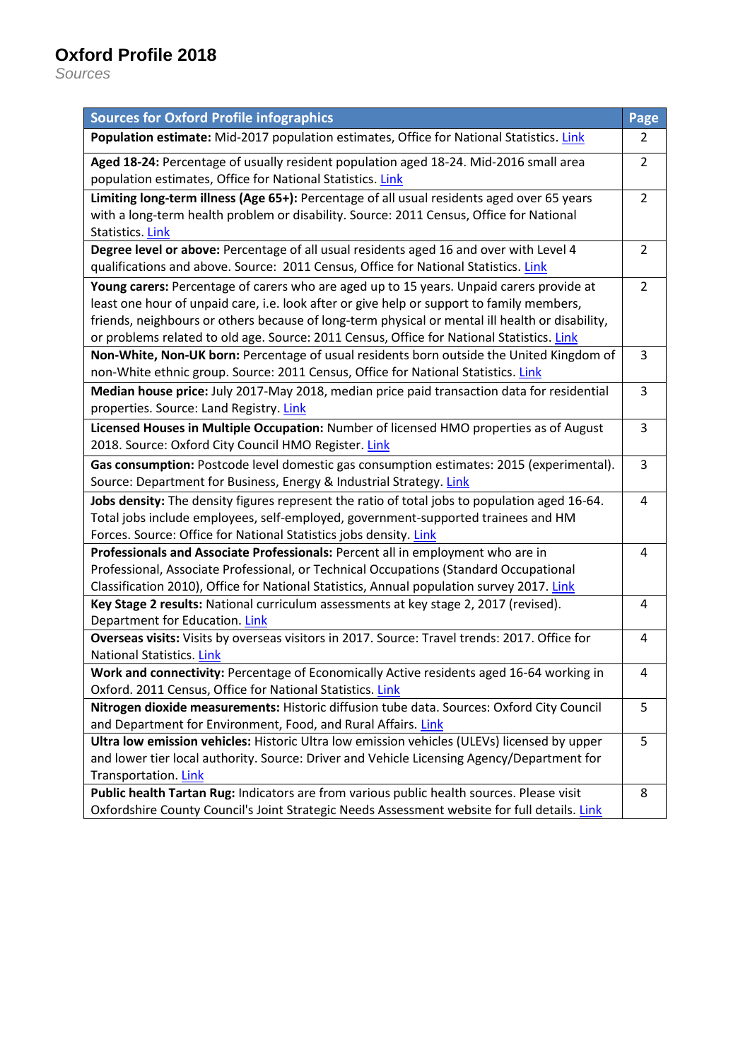# **Oxford Profile 2018**

*Sources*

| <b>Sources for Oxford Profile infographics</b>                                                                                                                                                                                                                                                                                                                                        | Page           |  |  |
|---------------------------------------------------------------------------------------------------------------------------------------------------------------------------------------------------------------------------------------------------------------------------------------------------------------------------------------------------------------------------------------|----------------|--|--|
| Population estimate: Mid-2017 population estimates, Office for National Statistics. Link                                                                                                                                                                                                                                                                                              | $\overline{2}$ |  |  |
| Aged 18-24: Percentage of usually resident population aged 18-24. Mid-2016 small area<br>population estimates, Office for National Statistics. Link                                                                                                                                                                                                                                   |                |  |  |
| Limiting long-term illness (Age 65+): Percentage of all usual residents aged over 65 years<br>with a long-term health problem or disability. Source: 2011 Census, Office for National<br><b>Statistics. Link</b>                                                                                                                                                                      |                |  |  |
| Degree level or above: Percentage of all usual residents aged 16 and over with Level 4<br>qualifications and above. Source: 2011 Census, Office for National Statistics. Link                                                                                                                                                                                                         | $\overline{2}$ |  |  |
| Young carers: Percentage of carers who are aged up to 15 years. Unpaid carers provide at<br>least one hour of unpaid care, i.e. look after or give help or support to family members,<br>friends, neighbours or others because of long-term physical or mental ill health or disability,<br>or problems related to old age. Source: 2011 Census, Office for National Statistics. Link | $\overline{2}$ |  |  |
| Non-White, Non-UK born: Percentage of usual residents born outside the United Kingdom of<br>non-White ethnic group. Source: 2011 Census, Office for National Statistics. Link                                                                                                                                                                                                         | 3              |  |  |
| Median house price: July 2017-May 2018, median price paid transaction data for residential<br>properties. Source: Land Registry. Link                                                                                                                                                                                                                                                 | 3              |  |  |
| Licensed Houses in Multiple Occupation: Number of licensed HMO properties as of August<br>2018. Source: Oxford City Council HMO Register. Link                                                                                                                                                                                                                                        |                |  |  |
| Gas consumption: Postcode level domestic gas consumption estimates: 2015 (experimental).<br>Source: Department for Business, Energy & Industrial Strategy. Link                                                                                                                                                                                                                       | 3              |  |  |
| Jobs density: The density figures represent the ratio of total jobs to population aged 16-64.<br>Total jobs include employees, self-employed, government-supported trainees and HM<br>Forces. Source: Office for National Statistics jobs density. Link                                                                                                                               |                |  |  |
| Professionals and Associate Professionals: Percent all in employment who are in<br>Professional, Associate Professional, or Technical Occupations (Standard Occupational<br>Classification 2010), Office for National Statistics, Annual population survey 2017. Link                                                                                                                 | 4              |  |  |
| Key Stage 2 results: National curriculum assessments at key stage 2, 2017 (revised).<br>Department for Education. Link                                                                                                                                                                                                                                                                |                |  |  |
| Overseas visits: Visits by overseas visitors in 2017. Source: Travel trends: 2017. Office for<br>National Statistics. Link                                                                                                                                                                                                                                                            | 4              |  |  |
| Work and connectivity: Percentage of Economically Active residents aged 16-64 working in<br>Oxford. 2011 Census, Office for National Statistics. Link                                                                                                                                                                                                                                 | 4              |  |  |
| Nitrogen dioxide measurements: Historic diffusion tube data. Sources: Oxford City Council<br>and Department for Environment, Food, and Rural Affairs. Link                                                                                                                                                                                                                            |                |  |  |
| Ultra low emission vehicles: Historic Ultra low emission vehicles (ULEVs) licensed by upper<br>and lower tier local authority. Source: Driver and Vehicle Licensing Agency/Department for<br>Transportation. Link                                                                                                                                                                     |                |  |  |
| Public health Tartan Rug: Indicators are from various public health sources. Please visit<br>Oxfordshire County Council's Joint Strategic Needs Assessment website for full details. Link                                                                                                                                                                                             |                |  |  |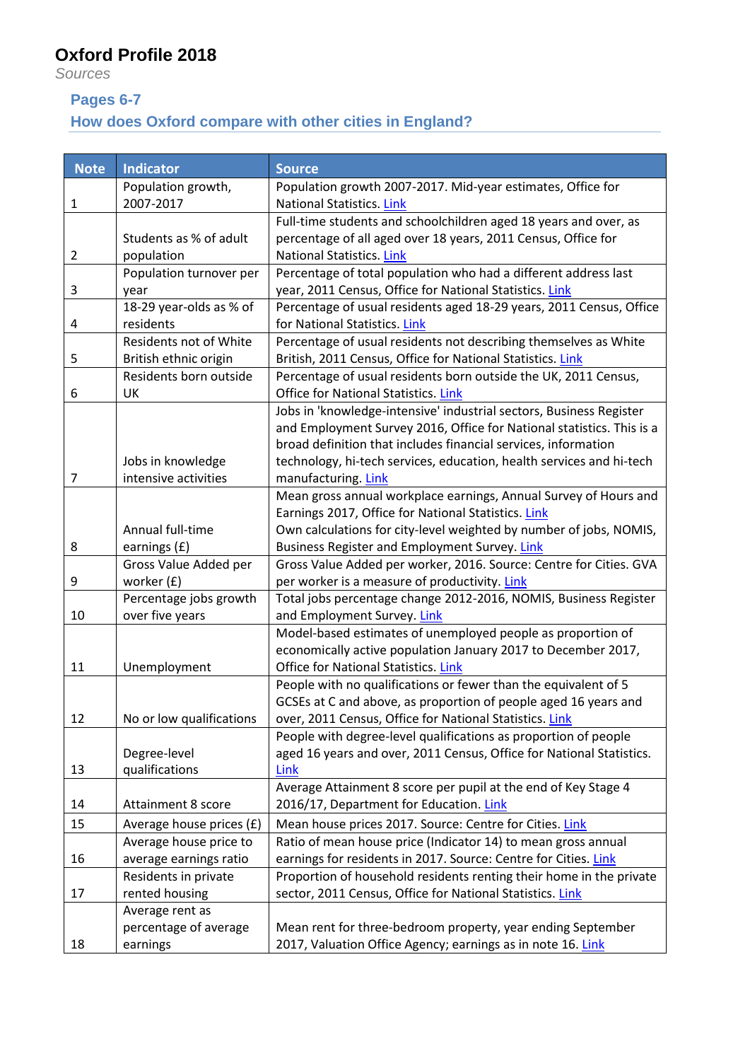## **Oxford Profile 2018**

*Sources*

#### **Pages 6-7**

## **How does Oxford compare with other cities in England?**

| <b>Note</b>    | <b>Indicator</b>         | <b>Source</b>                                                                                                                |
|----------------|--------------------------|------------------------------------------------------------------------------------------------------------------------------|
|                | Population growth,       | Population growth 2007-2017. Mid-year estimates, Office for                                                                  |
| 1              | 2007-2017                | <b>National Statistics. Link</b>                                                                                             |
|                |                          | Full-time students and schoolchildren aged 18 years and over, as                                                             |
|                | Students as % of adult   | percentage of all aged over 18 years, 2011 Census, Office for                                                                |
| $\overline{2}$ | population               | National Statistics. Link                                                                                                    |
|                | Population turnover per  | Percentage of total population who had a different address last                                                              |
| 3              | year                     | year, 2011 Census, Office for National Statistics. Link                                                                      |
|                | 18-29 year-olds as % of  | Percentage of usual residents aged 18-29 years, 2011 Census, Office                                                          |
| 4              | residents                | for National Statistics. Link                                                                                                |
|                | Residents not of White   | Percentage of usual residents not describing themselves as White                                                             |
| 5              | British ethnic origin    | British, 2011 Census, Office for National Statistics. Link                                                                   |
|                | Residents born outside   | Percentage of usual residents born outside the UK, 2011 Census,                                                              |
| 6              | UK                       | <b>Office for National Statistics. Link</b>                                                                                  |
|                |                          | Jobs in 'knowledge-intensive' industrial sectors, Business Register                                                          |
|                |                          | and Employment Survey 2016, Office for National statistics. This is a                                                        |
|                |                          | broad definition that includes financial services, information                                                               |
|                | Jobs in knowledge        | technology, hi-tech services, education, health services and hi-tech                                                         |
| 7              | intensive activities     | manufacturing. Link                                                                                                          |
|                |                          | Mean gross annual workplace earnings, Annual Survey of Hours and                                                             |
|                |                          | Earnings 2017, Office for National Statistics. Link                                                                          |
|                | Annual full-time         | Own calculations for city-level weighted by number of jobs, NOMIS,                                                           |
| 8              | earnings (£)             | Business Register and Employment Survey. Link                                                                                |
|                | Gross Value Added per    | Gross Value Added per worker, 2016. Source: Centre for Cities. GVA                                                           |
| 9              | worker (£)               | per worker is a measure of productivity. Link                                                                                |
| 10             | Percentage jobs growth   | Total jobs percentage change 2012-2016, NOMIS, Business Register                                                             |
|                | over five years          | and Employment Survey. Link                                                                                                  |
|                |                          | Model-based estimates of unemployed people as proportion of<br>economically active population January 2017 to December 2017, |
| 11             | Unemployment             | Office for National Statistics. Link                                                                                         |
|                |                          | People with no qualifications or fewer than the equivalent of 5                                                              |
|                |                          | GCSEs at C and above, as proportion of people aged 16 years and                                                              |
| 12             | No or low qualifications | over, 2011 Census, Office for National Statistics. Link                                                                      |
|                |                          | People with degree-level qualifications as proportion of people                                                              |
|                | Degree-level             | aged 16 years and over, 2011 Census, Office for National Statistics.                                                         |
| 13             | qualifications           | Link                                                                                                                         |
|                |                          | Average Attainment 8 score per pupil at the end of Key Stage 4                                                               |
| 14             | Attainment 8 score       | 2016/17, Department for Education. Link                                                                                      |
| 15             | Average house prices (£) | Mean house prices 2017. Source: Centre for Cities. Link                                                                      |
|                | Average house price to   | Ratio of mean house price (Indicator 14) to mean gross annual                                                                |
| 16             | average earnings ratio   | earnings for residents in 2017. Source: Centre for Cities. Link                                                              |
|                | Residents in private     | Proportion of household residents renting their home in the private                                                          |
| 17             | rented housing           | sector, 2011 Census, Office for National Statistics. Link                                                                    |
|                | Average rent as          |                                                                                                                              |
|                | percentage of average    | Mean rent for three-bedroom property, year ending September                                                                  |
| 18             | earnings                 | 2017, Valuation Office Agency; earnings as in note 16. Link                                                                  |